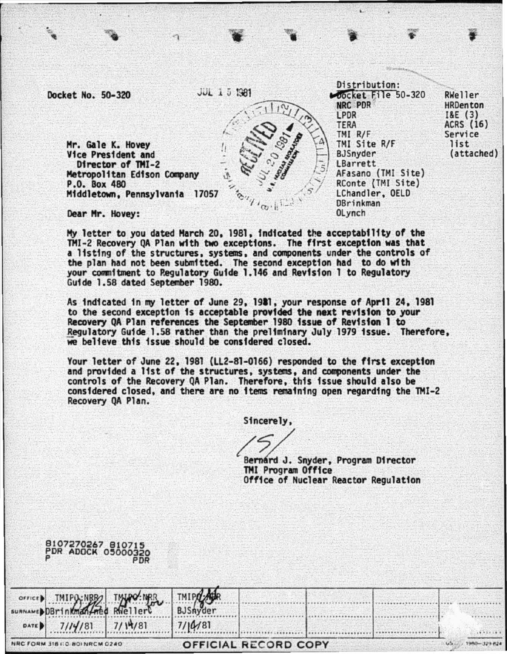Docket No. 50-320

 $9107270247910718$ 

 $JUL = 1.5$  1981 Mocket File 50-320 RWeller NRC PDR **HRDenton LPDR**  $18E(3)$ ACRS (16) **TERA** TMI R/F Service TMI Site R/F list Mr. Gale K. Hovey (attached) Vice President and **B.ISnyder** LBarrett Director of TMI-2 Metropolitan Edison Company AFasano (TMI Site) P.O. Box 480 RConte (TMI Site) LChandler, OELD Middletown, Pennsylvania 17057 **DBrinkman** OLynch Dear Mr. Hovey:

Distribution:

My letter to you dated March 20, 1981, indicated the acceptability of the TMI-2 Recovery QA Plan with two exceptions. The first exception was that a listing of the structures, systems, and components under the controls of the plan had not been submitted. The second exception had to do with your commitment to Regulatory Guide 1.146 and Revision 1 to Regulatory Guide 1.58 dated September 1980.

As indicated in my letter of June 29, 1981, your response of April 24, 1981 to the second exception is acceptable provided the next revision to your Recovery QA Plan references the September 1980 issue of Revision 1 to Regulatory Guide 1.58 rather than the preliminary July 1979 issue. Therefore, we believe this issue should be considered closed.

Your letter of June 22, 1981 (LL2-81-0166) responded to the first exception and provided a list of the structures, systems, and components under the controls of the Recovery QA Plan. Therefore, this issue should also be considered closed, and there are no items remaining open regarding the TMI-2 Recovery QA Plan.

Sincerely.

Bernard J. Snyder, Program Director TMI Program Office Office of Nuclear Reactor Regulation

|         | PDR ADOCK 05000                        | <b>PDR</b> |                   |                             |  |  |
|---------|----------------------------------------|------------|-------------------|-----------------------------|--|--|
| SURNAME | OFFICED TMIPO-NBB TMIPO-NBB            |            | TMIP/<br>BJSnyder |                             |  |  |
| DATE D  | 7/14/81                                | 7/14/81    | 7/10/81           |                             |  |  |
|         | <b>NRC FORM 318 (10) 801 NRCM 0240</b> |            |                   | <b>OFFICIAL RECORD COPY</b> |  |  |